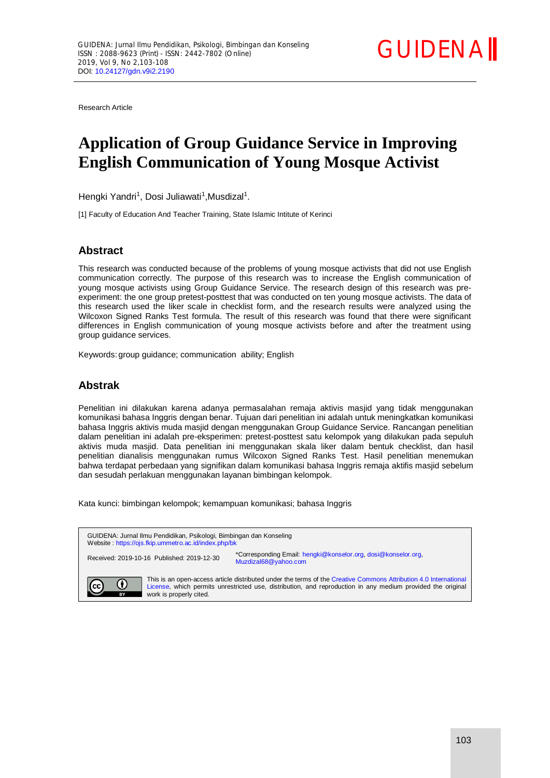

Research Article

# **Application of Group Guidance Service in Improving English Communication of Young Mosque Activist**

Hengki Yandri<sup>1</sup>, Dosi Juliawati<sup>1</sup>, Musdizal<sup>1</sup>.

[1] Faculty of Education And Teacher Training, State Islamic Intitute of Kerinci

## **Abstract**

This research was conducted because of the problems of young mosque activists that did not use English communication correctly. The purpose of this research was to increase the English communication of young mosque activists using Group Guidance Service. The research design of this research was preexperiment: the one group pretest-posttest that was conducted on ten young mosque activists. The data of this research used the liker scale in checklist form, and the research results were analyzed using the Wilcoxon Signed Ranks Test formula. The result of this research was found that there were significant differences in English communication of young mosque activists before and after the treatment using group guidance services.

Keywords:group guidance; communication ability; English

## **Abstrak**

Penelitian ini dilakukan karena adanya permasalahan remaja aktivis masjid yang tidak menggunakan komunikasi bahasa Inggris dengan benar. Tujuan dari penelitian ini adalah untuk meningkatkan komunikasi bahasa Inggris aktivis muda masjid dengan menggunakan Group Guidance Service. Rancangan penelitian dalam penelitian ini adalah pre-eksperimen: pretest-posttest satu kelompok yang dilakukan pada sepuluh aktivis muda masjid. Data penelitian ini menggunakan skala liker dalam bentuk checklist, dan hasil penelitian dianalisis menggunakan rumus Wilcoxon Signed Ranks Test. Hasil penelitian menemukan bahwa terdapat perbedaan yang signifikan dalam komunikasi bahasa Inggris remaja aktifis masjid sebelum dan sesudah perlakuan menggunakan layanan bimbingan kelompok.

Kata kunci: bimbingan kelompok; kemampuan komunikasi; bahasa Inggris

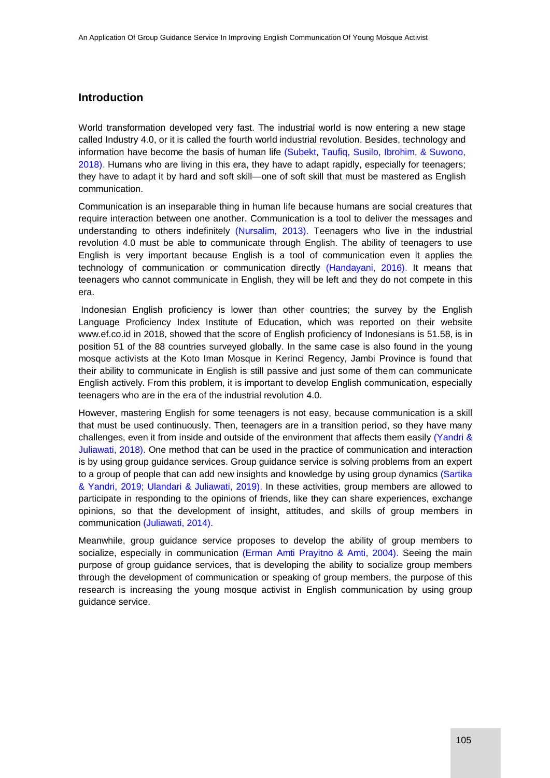## **Introduction**

World transformation developed very fast. The industrial world is now entering a new stage called Industry 4.0, or it is called the fourth world industrial revolution. Besides, technology and information have become the basis of human life (Subekt, Taufiq, Susilo, Ibrohim, & Suwono, 2018). Humans who are living in this era, they have to adapt rapidly, especially for teenagers; they have to adapt it by hard and soft skill—one of soft skill that must be mastered as English communication.

Communication is an inseparable thing in human life because humans are social creatures that require interaction between one another. Communication is a tool to deliver the messages and understanding to others indefinitely (Nursalim, 2013). Teenagers who live in the industrial revolution 4.0 must be able to communicate through English. The ability of teenagers to use English is very important because English is a tool of communication even it applies the technology of communication or communication directly (Handayani, 2016). It means that teenagers who cannot communicate in English, they will be left and they do not compete in this era.

Indonesian English proficiency is lower than other countries; the survey by the English Language Proficiency Index Institute of Education, which was reported on their website www.ef.co.id in 2018, showed that the score of English proficiency of Indonesians is 51.58, is in position 51 of the 88 countries surveyed globally. In the same case is also found in the young mosque activists at the Koto Iman Mosque in Kerinci Regency, Jambi Province is found that their ability to communicate in English is still passive and just some of them can communicate English actively. From this problem, it is important to develop English communication, especially teenagers who are in the era of the industrial revolution 4.0.

However, mastering English for some teenagers is not easy, because communication is a skill that must be used continuously. Then, teenagers are in a transition period, so they have many challenges, even it from inside and outside of the environment that affects them easily (Yandri & Juliawati, 2018). One method that can be used in the practice of communication and interaction is by using group guidance services. Group guidance service is solving problems from an expert to a group of people that can add new insights and knowledge by using group dynamics (Sartika & Yandri, 2019; Ulandari & Juliawati, 2019). In these activities, group members are allowed to participate in responding to the opinions of friends, like they can share experiences, exchange opinions, so that the development of insight, attitudes, and skills of group members in communication (Juliawati, 2014).

Meanwhile, group guidance service proposes to develop the ability of group members to socialize, especially in communication (Erman Amti Prayitno & Amti, 2004). Seeing the main purpose of group guidance services, that is developing the ability to socialize group members through the development of communication or speaking of group members, the purpose of this research is increasing the young mosque activist in English communication by using group guidance service.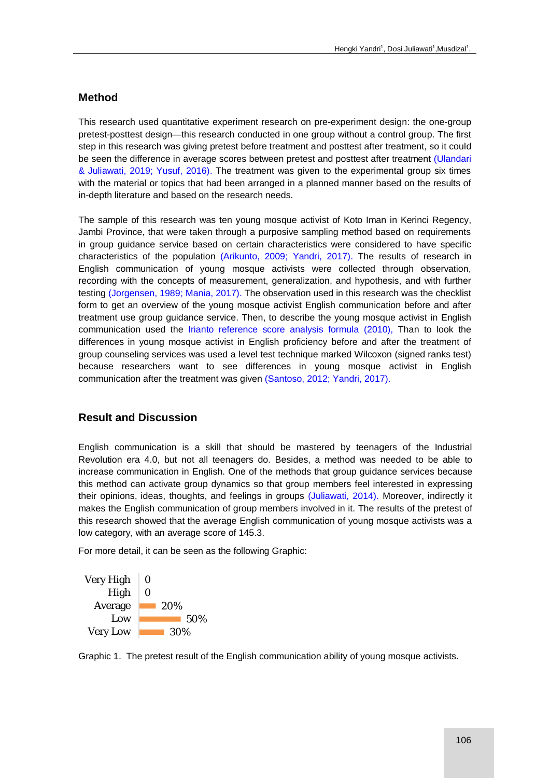## **Method**

This research used quantitative experiment research on pre-experiment design: the one-group pretest-posttest design—this research conducted in one group without a control group. The first step in this research was giving pretest before treatment and posttest after treatment, so it could be seen the difference in average scores between pretest and posttest after treatment (Ulandari & Juliawati, 2019; Yusuf, 2016). The treatment was given to the experimental group six times with the material or topics that had been arranged in a planned manner based on the results of in-depth literature and based on the research needs.

The sample of this research was ten young mosque activist of Koto Iman in Kerinci Regency, Jambi Province, that were taken through a purposive sampling method based on requirements in group guidance service based on certain characteristics were considered to have specific characteristics of the population (Arikunto, 2009; Yandri, 2017). The results of research in English communication of young mosque activists were collected through observation, recording with the concepts of measurement, generalization, and hypothesis, and with further testing (Jorgensen, 1989; Mania, 2017). The observation used in this research was the checklist form to get an overview of the young mosque activist English communication before and after treatment use group guidance service. Then, to describe the young mosque activist in English communication used the Irianto reference score analysis formula (2010), Than to look the differences in young mosque activist in English proficiency before and after the treatment of group counseling services was used a level test technique marked Wilcoxon (signed ranks test) because researchers want to see differences in young mosque activist in English communication after the treatment was given (Santoso, 2012; Yandri, 2017).

### **Result and Discussion**

English communication is a skill that should be mastered by teenagers of the Industrial Revolution era 4.0, but not all teenagers do. Besides, a method was needed to be able to increase communication in English. One of the methods that group guidance services because this method can activate group dynamics so that group members feel interested in expressing their opinions, ideas, thoughts, and feelings in groups (Juliawati, 2014). Moreover, indirectly it makes the English communication of group members involved in it. The results of the pretest of this research showed that the average English communication of young mosque activists was a low category, with an average score of 145.3.

For more detail, it can be seen as the following Graphic:



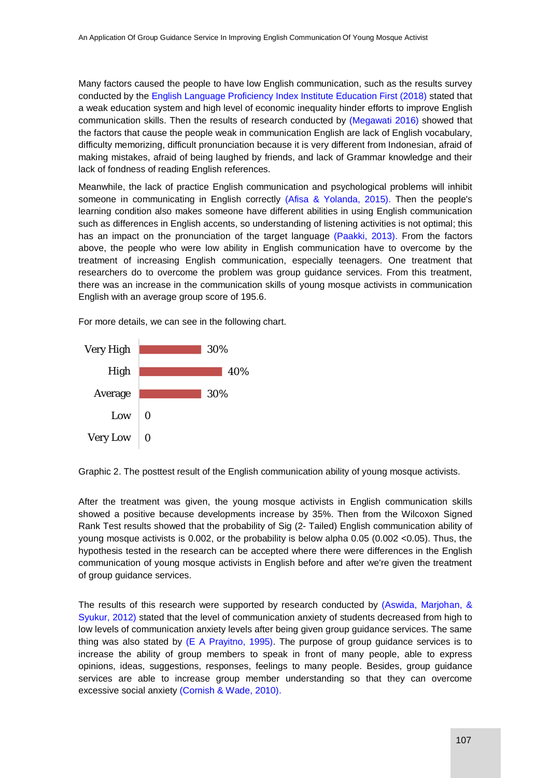Many factors caused the people to have low English communication, such as the results survey conducted by the English Language Proficiency Index Institute Education First (2018) stated that a weak education system and high level of economic inequality hinder efforts to improve English communication skills. Then the results of research conducted by (Megawati 2016) showed that the factors that cause the people weak in communication English are lack of English vocabulary, difficulty memorizing, difficult pronunciation because it is very different from Indonesian, afraid of making mistakes, afraid of being laughed by friends, and lack of Grammar knowledge and their lack of fondness of reading English references.

Meanwhile, the lack of practice English communication and psychological problems will inhibit someone in communicating in English correctly (Afisa & Yolanda, 2015). Then the people's learning condition also makes someone have different abilities in using English communication such as differences in English accents, so understanding of listening activities is not optimal; this has an impact on the pronunciation of the target language (Paakki, 2013). From the factors above, the people who were low ability in English communication have to overcome by the treatment of increasing English communication, especially teenagers. One treatment that researchers do to overcome the problem was group guidance services. From this treatment, there was an increase in the communication skills of young mosque activists in communication English with an average group score of 195.6.

For more details, we can see in the following chart.



Graphic 2. The posttest result of the English communication ability of young mosque activists.

After the treatment was given, the young mosque activists in English communication skills showed a positive because developments increase by 35%. Then from the Wilcoxon Signed Rank Test results showed that the probability of Sig (2- Tailed) English communication ability of young mosque activists is 0.002, or the probability is below alpha 0.05 (0.002 <0.05). Thus, the hypothesis tested in the research can be accepted where there were differences in the English communication of young mosque activists in English before and after we're given the treatment of group guidance services.

The results of this research were supported by research conducted by (Aswida, Marjohan, & Syukur, 2012) stated that the level of communication anxiety of students decreased from high to low levels of communication anxiety levels after being given group guidance services. The same thing was also stated by  $(E \land \text{Prayitno}, 1995)$ . The purpose of group guidance services is to increase the ability of group members to speak in front of many people, able to express opinions, ideas, suggestions, responses, feelings to many people. Besides, group guidance services are able to increase group member understanding so that they can overcome excessive social anxiety (Cornish & Wade, 2010).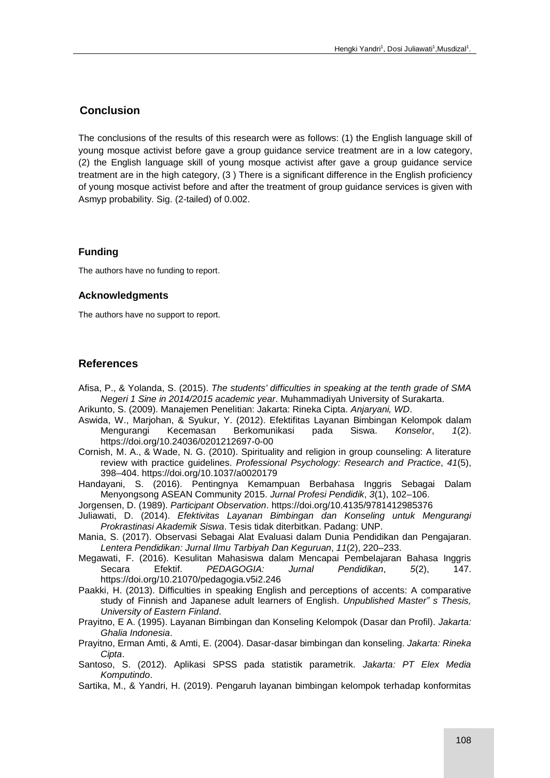## **Conclusion**

The conclusions of the results of this research were as follows: (1) the English language skill of young mosque activist before gave a group guidance service treatment are in a low category, (2) the English language skill of young mosque activist after gave a group guidance service treatment are in the high category, (3 ) There is a significant difference in the English proficiency of young mosque activist before and after the treatment of group guidance services is given with Asmyp probability. Sig. (2-tailed) of 0.002.

#### **Funding**

The authors have no funding to report.

#### **Acknowledgments**

The authors have no support to report.

#### **References**

- Afisa, P., & Yolanda, S. (2015). *The students' difficulties in speaking at the tenth grade of SMA Negeri 1 Sine in 2014/2015 academic year*. Muhammadiyah University of Surakarta.
- Arikunto, S. (2009). Manajemen Penelitian: Jakarta: Rineka Cipta. *Anjaryani, WD*.
- Aswida, W., Marjohan, & Syukur, Y. (2012). Efektifitas Layanan Bimbingan Kelompok dalam Mengurangi Kecemasan Berkomunikasi pada Siswa. *Konselor*, *1*(2). https://doi.org/10.24036/0201212697-0-00
- Cornish, M. A., & Wade, N. G. (2010). Spirituality and religion in group counseling: A literature review with practice guidelines. *Professional Psychology: Research and Practice*, *41*(5), 398–404. https://doi.org/10.1037/a0020179
- Handayani, S. (2016). Pentingnya Kemampuan Berbahasa Inggris Sebagai Dalam Menyongsong ASEAN Community 2015. *Jurnal Profesi Pendidik*, *3*(1), 102–106.
- Jorgensen, D. (1989). *Participant Observation*. https://doi.org/10.4135/9781412985376
- Juliawati, D. (2014). *Efektivitas Layanan Bimbingan dan Konseling untuk Mengurangi Prokrastinasi Akademik Siswa*. Tesis tidak diterbitkan. Padang: UNP.
- Mania, S. (2017). Observasi Sebagai Alat Evaluasi dalam Dunia Pendidikan dan Pengajaran. *Lentera Pendidikan: Jurnal Ilmu Tarbiyah Dan Keguruan*, *11*(2), 220–233.
- Megawati, F. (2016). Kesulitan Mahasiswa dalam Mencapai Pembelajaran Bahasa Inggris Secara Efektif. *PEDAGOGIA: Jurnal Pendidikan*, *5*(2), 147. https://doi.org/10.21070/pedagogia.v5i2.246
- Paakki, H. (2013). Difficulties in speaking English and perceptions of accents: A comparative study of Finnish and Japanese adult learners of English. *Unpublished Master" s Thesis, University of Eastern Finland*.
- Prayitno, E A. (1995). Layanan Bimbingan dan Konseling Kelompok (Dasar dan Profil). *Jakarta: Ghalia Indonesia*.
- Prayitno, Erman Amti, & Amti, E. (2004). Dasar-dasar bimbingan dan konseling. *Jakarta: Rineka Cipta*.
- Santoso, S. (2012). Aplikasi SPSS pada statistik parametrik. *Jakarta: PT Elex Media Komputindo*.
- Sartika, M., & Yandri, H. (2019). Pengaruh layanan bimbingan kelompok terhadap konformitas